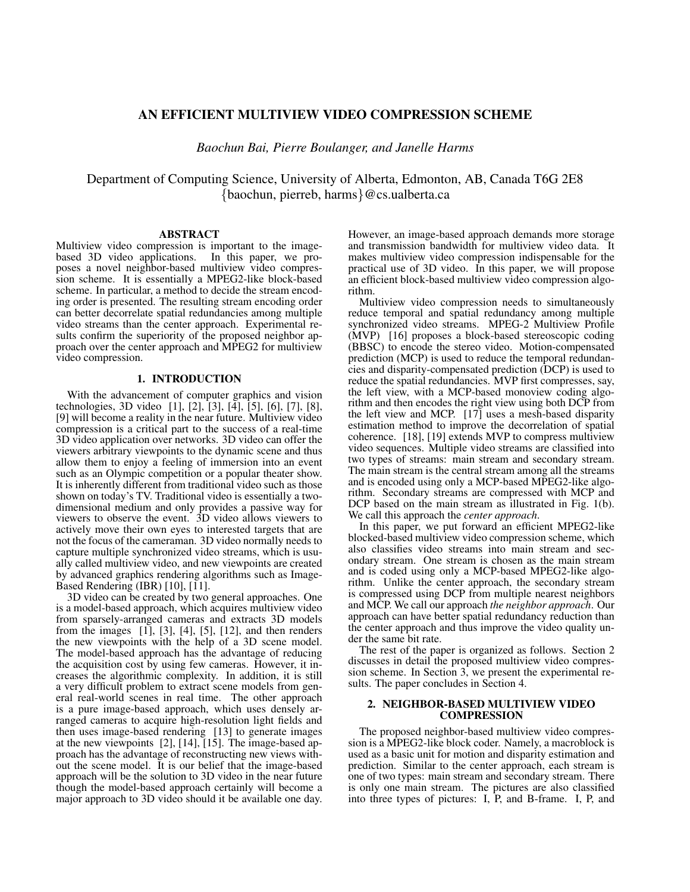# **AN EFFICIENT MULTIVIEW VIDEO COMPRESSION SCHEME**

*Baochun Bai, Pierre Boulanger, and Janelle Harms*

Department of Computing Science, University of Alberta, Edmonton, AB, Canada T6G 2E8 {baochun, pierreb, harms}@cs.ualberta.ca

#### **ABSTRACT**

Multiview video compression is important to the imagebased 3D video applications. In this paper, we proposes a novel neighbor-based multiview video compression scheme. It is essentially a MPEG2-like block-based scheme. In particular, a method to decide the stream encoding order is presented. The resulting stream encoding order can better decorrelate spatial redundancies among multiple video streams than the center approach. Experimental results confirm the superiority of the proposed neighbor approach over the center approach and MPEG2 for multiview video compression.

## **1. INTRODUCTION**

With the advancement of computer graphics and vision technologies, 3D video [1], [2], [3], [4], [5], [6], [7], [8], [9] will become a reality in the near future. Multiview video compression is a critical part to the success of a real-time 3D video application over networks. 3D video can offer the viewers arbitrary viewpoints to the dynamic scene and thus allow them to enjoy a feeling of immersion into an event such as an Olympic competition or a popular theater show. It is inherently different from traditional video such as those shown on today's TV. Traditional video is essentially a twodimensional medium and only provides a passive way for viewers to observe the event. 3D video allows viewers to actively move their own eyes to interested targets that are not the focus of the cameraman. 3D video normally needs to capture multiple synchronized video streams, which is usually called multiview video, and new viewpoints are created by advanced graphics rendering algorithms such as Image-Based Rendering (IBR) [10], [11].

3D video can be created by two general approaches. One is a model-based approach, which acquires multiview video from sparsely-arranged cameras and extracts 3D models from the images  $[1]$ ,  $[3]$ ,  $[4]$ ,  $[5]$ ,  $[12]$ , and then renders the new viewpoints with the help of a 3D scene model. The model-based approach has the advantage of reducing the acquisition cost by using few cameras. However, it increases the algorithmic complexity. In addition, it is still a very difficult problem to extract scene models from general real-world scenes in real time. The other approach is a pure image-based approach, which uses densely arranged cameras to acquire high-resolution light fields and then uses image-based rendering [13] to generate images at the new viewpoints [2], [14], [15]. The image-based approach has the advantage of reconstructing new views without the scene model. It is our belief that the image-based approach will be the solution to 3D video in the near future though the model-based approach certainly will become a major approach to 3D video should it be available one day.

However, an image-based approach demands more storage and transmission bandwidth for multiview video data. It makes multiview video compression indispensable for the practical use of 3D video. In this paper, we will propose an efficient block-based multiview video compression algorithm.

Multiview video compression needs to simultaneously reduce temporal and spatial redundancy among multiple synchronized video streams. MPEG-2 Multiview Profile (MVP) [16] proposes a block-based stereoscopic coding (BBSC) to encode the stereo video. Motion-compensated prediction (MCP) is used to reduce the temporal redundancies and disparity-compensated prediction (DCP) is used to reduce the spatial redundancies. MVP first compresses, say, the left view, with a MCP-based monoview coding algorithm and then encodes the right view using both DCP from the left view and MCP.  $[17]$  uses a mesh-based disparity estimation method to improve the decorrelation of spatial coherence. [18], [19] extends MVP to compress multiview video sequences. Multiple video streams are classified into two types of streams: main stream and secondary stream. The main stream is the central stream among all the streams and is encoded using only a MCP-based MPEG2-like algorithm. Secondary streams are compressed with MCP and DCP based on the main stream as illustrated in Fig. 1(b). We call this approach the *center approach*.

In this paper, we put forward an efficient MPEG2-like blocked-based multiview video compression scheme, which also classifies video streams into main stream and secondary stream. One stream is chosen as the main stream and is coded using only a MCP-based MPEG2-like algorithm. Unlike the center approach, the secondary stream is compressed using DCP from multiple nearest neighbors and MCP. We call our approach *the neighbor approach*. Our approach can have better spatial redundancy reduction than the center approach and thus improve the video quality under the same bit rate.

The rest of the paper is organized as follows. Section 2 discusses in detail the proposed multiview video compression scheme. In Section 3, we present the experimental results. The paper concludes in Section 4.

#### **2. NEIGHBOR-BASED MULTIVIEW VIDEO COMPRESSION**

The proposed neighbor-based multiview video compression is a MPEG2-like block coder. Namely, a macroblock is used as a basic unit for motion and disparity estimation and prediction. Similar to the center approach, each stream is one of two types: main stream and secondary stream. There is only one main stream. The pictures are also classified into three types of pictures: I, P, and B-frame. I, P, and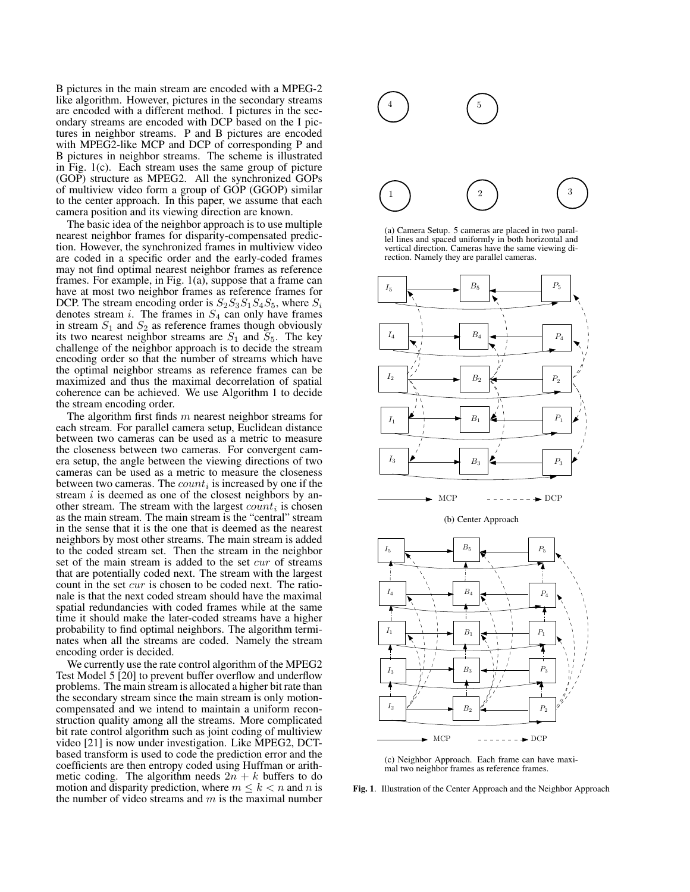B pictures in the main stream are encoded with a MPEG-2 like algorithm. However, pictures in the secondary streams are encoded with a different method. I pictures in the secondary streams are encoded with DCP based on the I pictures in neighbor streams. P and B pictures are encoded with MPEG2-like MCP and DCP of corresponding P and B pictures in neighbor streams. The scheme is illustrated in Fig. 1(c). Each stream uses the same group of picture (GOP) structure as MPEG2. All the synchronized GOPs of multiview video form a group of GOP (GGOP) similar to the center approach. In this paper, we assume that each camera position and its viewing direction are known.

The basic idea of the neighbor approach is to use multiple nearest neighbor frames for disparity-compensated prediction. However, the synchronized frames in multiview video are coded in a specific order and the early-coded frames may not find optimal nearest neighbor frames as reference frames. For example, in Fig. 1(a), suppose that a frame can have at most two neighbor frames as reference frames for DCP. The stream encoding order is  $S_2S_3S_1S_4S_5$ , where  $S_i$ denotes stream  $i$ . The frames in  $S_4$  can only have frames in stream  $S_1$  and  $S_2$  as reference frames though obviously its two nearest neighbor streams are  $S_1$  and  $S_5$ . The key challenge of the neighbor approach is to decide the stream encoding order so that the number of streams which have the optimal neighbor streams as reference frames can be maximized and thus the maximal decorrelation of spatial coherence can be achieved. We use Algorithm 1 to decide the stream encoding order.

The algorithm first finds  $m$  nearest neighbor streams for each stream. For parallel camera setup, Euclidean distance between two cameras can be used as a metric to measure the closeness between two cameras. For convergent camera setup, the angle between the viewing directions of two cameras can be used as a metric to measure the closeness between two cameras. The  $count_i$  is increased by one if the stream  $i$  is deemed as one of the closest neighbors by another stream. The stream with the largest  $count_i$  is chosen as the main stream. The main stream is the "central" stream in the sense that it is the one that is deemed as the nearest neighbors by most other streams. The main stream is added to the coded stream set. Then the stream in the neighbor set of the main stream is added to the set *cur* of streams that are potentially coded next. The stream with the largest count in the set cur is chosen to be coded next. The rationale is that the next coded stream should have the maximal spatial redundancies with coded frames while at the same time it should make the later-coded streams have a higher probability to find optimal neighbors. The algorithm terminates when all the streams are coded. Namely the stream encoding order is decided.

We currently use the rate control algorithm of the MPEG2 Test Model 5 [20] to prevent buffer overflow and underflow problems. The main stream is allocated a higher bit rate than the secondary stream since the main stream is only motioncompensated and we intend to maintain a uniform reconstruction quality among all the streams. More complicated bit rate control algorithm such as joint coding of multiview video [21] is now under investigation. Like MPEG2, DCTbased transform is used to code the prediction error and the coefficients are then entropy coded using Huffman or arithmetic coding. The algorithm needs  $2n + k$  buffers to do motion and disparity prediction, where  $m \leq k \leq n$  and n is the number of video streams and  $m$  is the maximal number



(a) Camera Setup. 5 cameras are placed in two parallel lines and spaced uniformly in both horizontal and vertical direction. Cameras have the same viewing direction. Namely they are parallel cameras.



(c) Neighbor Approach. Each frame can have maximal two neighbor frames as reference frames.

**Fig. 1**. Illustration of the Center Approach and the Neighbor Approach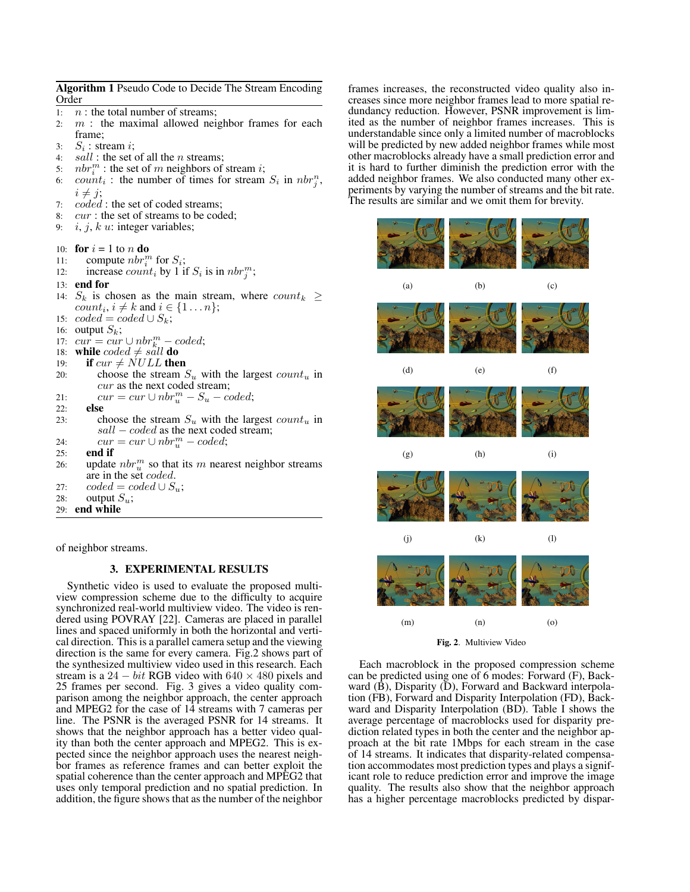**Algorithm 1** Pseudo Code to Decide The Stream Encoding Order 1:  $n:$  the total number of streams; 2:  $m$  : the maximal allowed neighbor frames for each frame; 3:  $S_i$  : stream *i*; 4:  $sall$ : the set of all the *n* streams; 5:  $nbr_i^m$  : the set of m neighbors of stream *i*; 6:  $\textit{count}_i$ : the number of times for stream  $S_i$  in  $\textit{nbr}_j^n$ ,  $i \neq j$ ; 7: coded : the set of coded streams; 8: *cur* : the set of streams to be coded; 9:  $i, j, k$  u: integer variables; 10: **for**  $i = 1$  to n **do** 11: compute  $nbr_i^m$  for  $S_i$ ; 12: increase  $count_i$  by 1 if  $S_i$  is in  $nbr_j^m$ ; 13: **end for** 14:  $S_k$  is chosen as the main stream, where  $count_k \geq$  $count_i, i \neq k$  and  $i \in \{1 \dots n\};$ 15:  $coded = coded \cup S_k;$ 16: output  $S_k$ ; 17:  $cur = cur \cup nbr_{k}^m - coded;$ 18: **while**  $\text{coded} \neq \text{salt}$  **do**<br>19: **if**  $\text{curl} \neq \text{NULL}$  the if  $cur \neq NULL$  then 20: choose the stream  $S_u$  with the largest  $count_u$  in cur as the next coded stream; 21:  $cur = cur \cup nbr_u^m - S_u - coded;$ 22: **else** 23: choose the stream  $S_u$  with the largest  $count_u$  in  $sall - coded$  as the next coded stream; 24:  $cur = cur \cup nbr_u^m - coded;$ 25: **end if** 26: update  $nbr_u^m$  so that its m nearest neighbor streams are in the set coded. 27:  $code = coded \cup S_u;$ 28: output  $S_u$ ; 29: **end while**

of neighbor streams.

### **3. EXPERIMENTAL RESULTS**

Synthetic video is used to evaluate the proposed multiview compression scheme due to the difficulty to acquire synchronized real-world multiview video. The video is rendered using POVRAY [22]. Cameras are placed in parallel lines and spaced uniformly in both the horizontal and vertical direction. Thisis a parallel camera setup and the viewing direction is the same for every camera. Fig.2 shows part of the synthesized multiview video used in this research. Each stream is a  $24 - bit$  RGB video with  $640 \times 480$  pixels and 25 frames per second. Fig. 3 gives a video quality comparison among the neighbor approach, the center approach and MPEG2 for the case of 14 streams with 7 cameras per line. The PSNR is the averaged PSNR for 14 streams. It shows that the neighbor approach has a better video quality than both the center approach and MPEG2. This is expected since the neighbor approach uses the nearest neighbor frames as reference frames and can better exploit the spatial coherence than the center approach and MPEG2 that uses only temporal prediction and no spatial prediction. In addition, the figure shows that as the number of the neighbor frames increases, the reconstructed video quality also increases since more neighbor frames lead to more spatial redundancy reduction. However, PSNR improvement is limited as the number of neighbor frames increases. This is understandable since only a limited number of macroblocks will be predicted by new added neighbor frames while most other macroblocks already have a small prediction error and it is hard to further diminish the prediction error with the added neighbor frames. We also conducted many other experiments by varying the number of streams and the bit rate. The results are similar and we omit them for brevity.



**Fig. 2**. Multiview Video

Each macroblock in the proposed compression scheme can be predicted using one of 6 modes: Forward (F), Backward  $(\tilde{B})$ , Disparity  $(\tilde{D})$ , Forward and Backward interpolation (FB), Forward and Disparity Interpolation (FD), Backward and Disparity Interpolation (BD). Table I shows the average percentage of macroblocks used for disparity prediction related types in both the center and the neighbor approach at the bit rate 1Mbps for each stream in the case of 14 streams. It indicates that disparity-related compensation accommodates most prediction types and plays a significant role to reduce prediction error and improve the image quality. The results also show that the neighbor approach has a higher percentage macroblocks predicted by dispar-